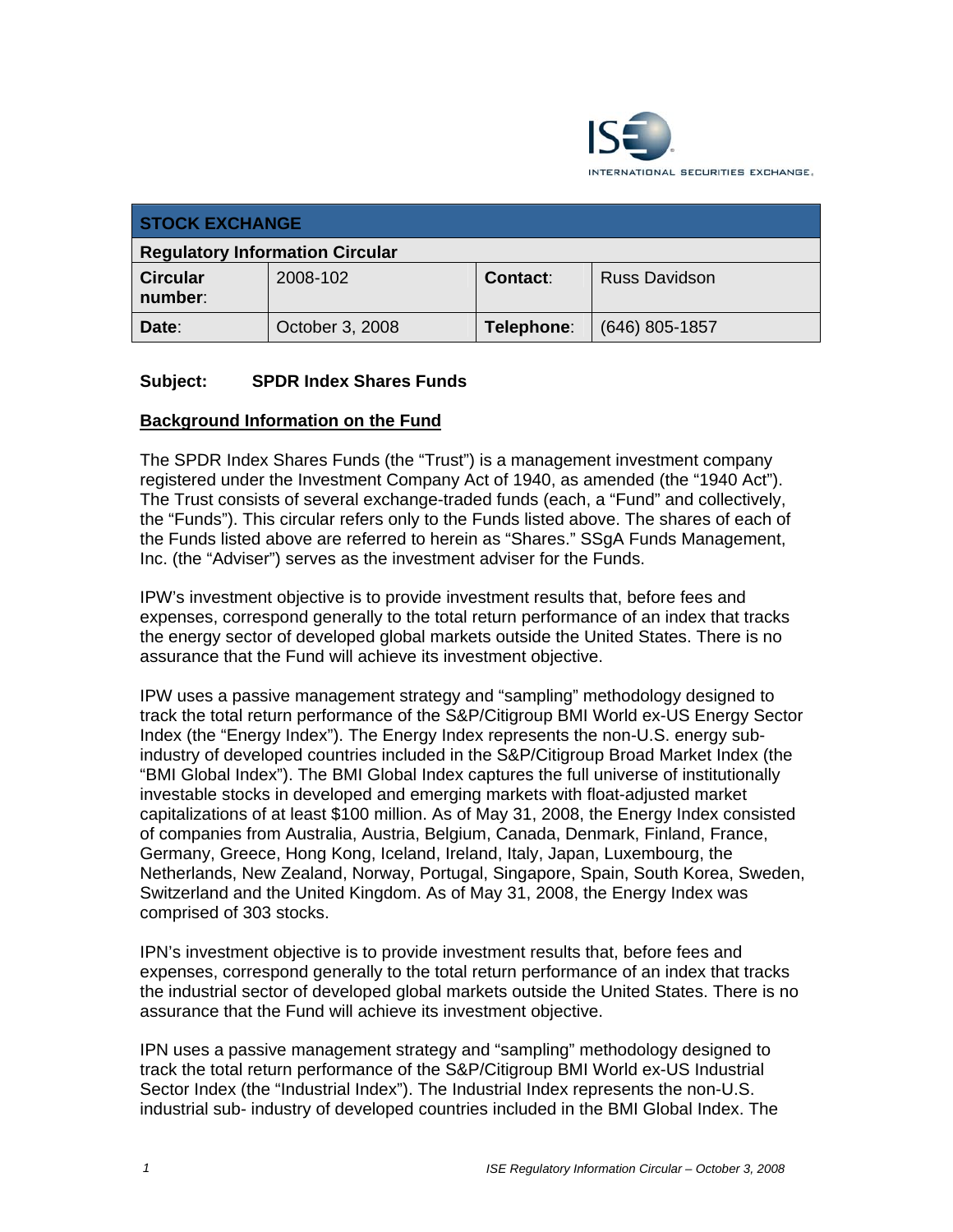

| <b>STOCK EXCHANGE</b>                  |                 |            |                      |  |
|----------------------------------------|-----------------|------------|----------------------|--|
| <b>Regulatory Information Circular</b> |                 |            |                      |  |
| <b>Circular</b><br>number:             | 2008-102        | Contact:   | <b>Russ Davidson</b> |  |
| Date:                                  | October 3, 2008 | Telephone: | $(646)$ 805-1857     |  |

## **Subject: SPDR Index Shares Funds**

#### **Background Information on the Fund**

The SPDR Index Shares Funds (the "Trust") is a management investment company registered under the Investment Company Act of 1940, as amended (the "1940 Act"). The Trust consists of several exchange-traded funds (each, a "Fund" and collectively, the "Funds"). This circular refers only to the Funds listed above. The shares of each of the Funds listed above are referred to herein as "Shares." SSgA Funds Management, Inc. (the "Adviser") serves as the investment adviser for the Funds.

IPW's investment objective is to provide investment results that, before fees and expenses, correspond generally to the total return performance of an index that tracks the energy sector of developed global markets outside the United States. There is no assurance that the Fund will achieve its investment objective.

IPW uses a passive management strategy and "sampling" methodology designed to track the total return performance of the S&P/Citigroup BMI World ex-US Energy Sector Index (the "Energy Index"). The Energy Index represents the non-U.S. energy subindustry of developed countries included in the S&P/Citigroup Broad Market Index (the "BMI Global Index"). The BMI Global Index captures the full universe of institutionally investable stocks in developed and emerging markets with float-adjusted market capitalizations of at least \$100 million. As of May 31, 2008, the Energy Index consisted of companies from Australia, Austria, Belgium, Canada, Denmark, Finland, France, Germany, Greece, Hong Kong, Iceland, Ireland, Italy, Japan, Luxembourg, the Netherlands, New Zealand, Norway, Portugal, Singapore, Spain, South Korea, Sweden, Switzerland and the United Kingdom. As of May 31, 2008, the Energy Index was comprised of 303 stocks.

IPN's investment objective is to provide investment results that, before fees and expenses, correspond generally to the total return performance of an index that tracks the industrial sector of developed global markets outside the United States. There is no assurance that the Fund will achieve its investment objective.

IPN uses a passive management strategy and "sampling" methodology designed to track the total return performance of the S&P/Citigroup BMI World ex-US Industrial Sector Index (the "Industrial Index"). The Industrial Index represents the non-U.S. industrial sub- industry of developed countries included in the BMI Global Index. The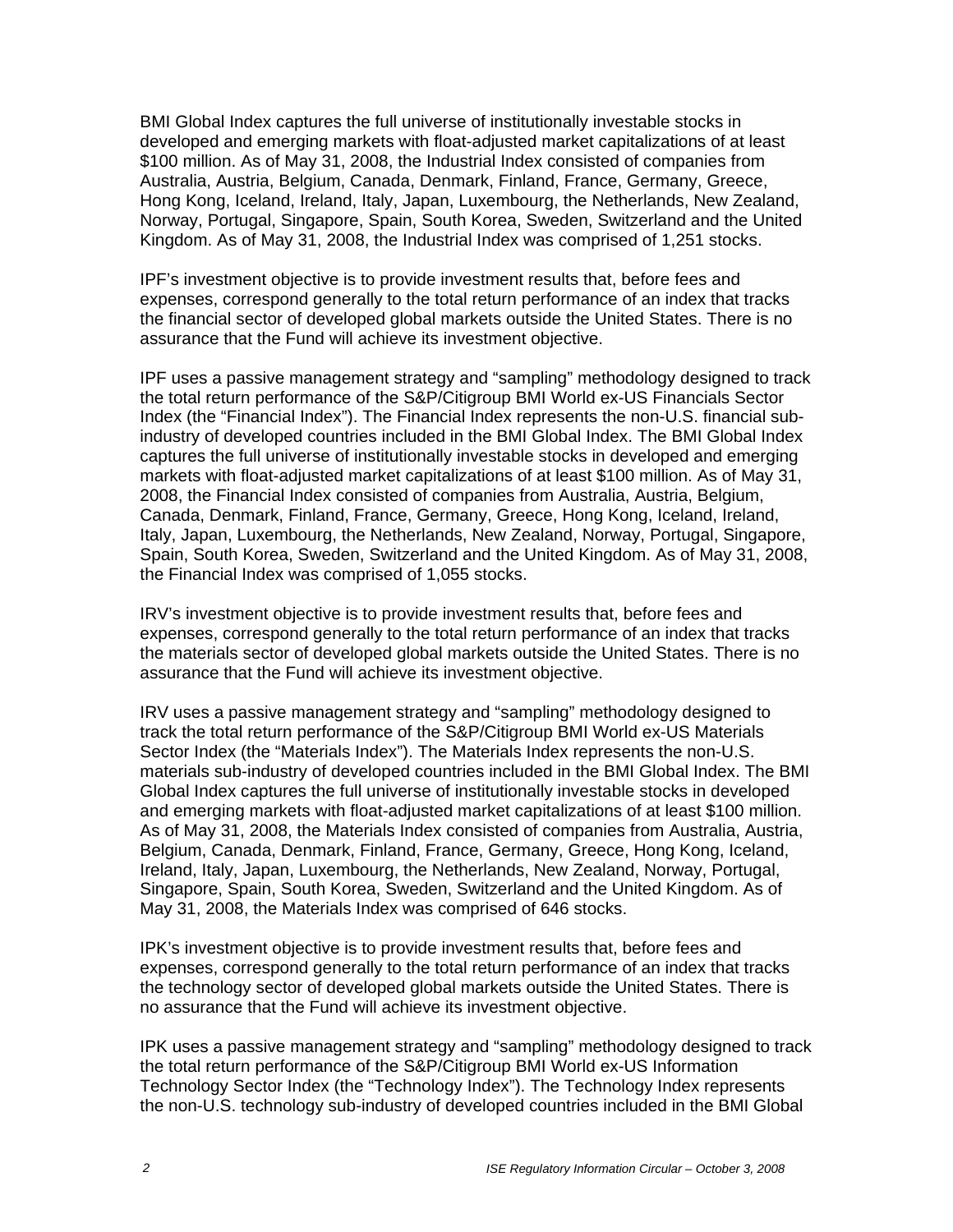BMI Global Index captures the full universe of institutionally investable stocks in developed and emerging markets with float-adjusted market capitalizations of at least \$100 million. As of May 31, 2008, the Industrial Index consisted of companies from Australia, Austria, Belgium, Canada, Denmark, Finland, France, Germany, Greece, Hong Kong, Iceland, Ireland, Italy, Japan, Luxembourg, the Netherlands, New Zealand, Norway, Portugal, Singapore, Spain, South Korea, Sweden, Switzerland and the United Kingdom. As of May 31, 2008, the Industrial Index was comprised of 1,251 stocks.

IPF's investment objective is to provide investment results that, before fees and expenses, correspond generally to the total return performance of an index that tracks the financial sector of developed global markets outside the United States. There is no assurance that the Fund will achieve its investment objective.

IPF uses a passive management strategy and "sampling" methodology designed to track the total return performance of the S&P/Citigroup BMI World ex-US Financials Sector Index (the "Financial Index"). The Financial Index represents the non-U.S. financial subindustry of developed countries included in the BMI Global Index. The BMI Global Index captures the full universe of institutionally investable stocks in developed and emerging markets with float-adjusted market capitalizations of at least \$100 million. As of May 31, 2008, the Financial Index consisted of companies from Australia, Austria, Belgium, Canada, Denmark, Finland, France, Germany, Greece, Hong Kong, Iceland, Ireland, Italy, Japan, Luxembourg, the Netherlands, New Zealand, Norway, Portugal, Singapore, Spain, South Korea, Sweden, Switzerland and the United Kingdom. As of May 31, 2008, the Financial Index was comprised of 1,055 stocks.

IRV's investment objective is to provide investment results that, before fees and expenses, correspond generally to the total return performance of an index that tracks the materials sector of developed global markets outside the United States. There is no assurance that the Fund will achieve its investment objective.

IRV uses a passive management strategy and "sampling" methodology designed to track the total return performance of the S&P/Citigroup BMI World ex-US Materials Sector Index (the "Materials Index"). The Materials Index represents the non-U.S. materials sub-industry of developed countries included in the BMI Global Index. The BMI Global Index captures the full universe of institutionally investable stocks in developed and emerging markets with float-adjusted market capitalizations of at least \$100 million. As of May 31, 2008, the Materials Index consisted of companies from Australia, Austria, Belgium, Canada, Denmark, Finland, France, Germany, Greece, Hong Kong, Iceland, Ireland, Italy, Japan, Luxembourg, the Netherlands, New Zealand, Norway, Portugal, Singapore, Spain, South Korea, Sweden, Switzerland and the United Kingdom. As of May 31, 2008, the Materials Index was comprised of 646 stocks.

IPK's investment objective is to provide investment results that, before fees and expenses, correspond generally to the total return performance of an index that tracks the technology sector of developed global markets outside the United States. There is no assurance that the Fund will achieve its investment objective.

IPK uses a passive management strategy and "sampling" methodology designed to track the total return performance of the S&P/Citigroup BMI World ex-US Information Technology Sector Index (the "Technology Index"). The Technology Index represents the non-U.S. technology sub-industry of developed countries included in the BMI Global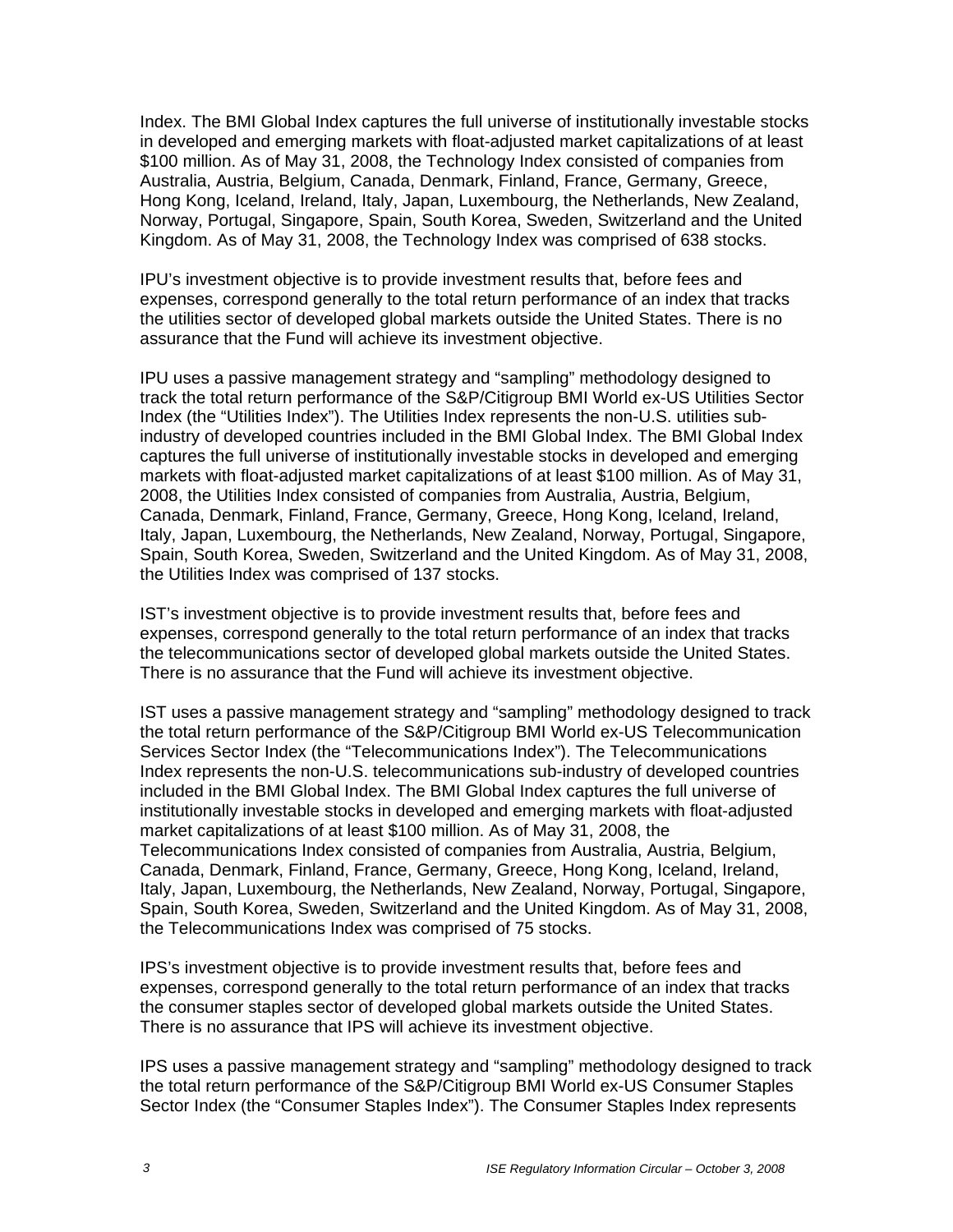Index. The BMI Global Index captures the full universe of institutionally investable stocks in developed and emerging markets with float-adjusted market capitalizations of at least \$100 million. As of May 31, 2008, the Technology Index consisted of companies from Australia, Austria, Belgium, Canada, Denmark, Finland, France, Germany, Greece, Hong Kong, Iceland, Ireland, Italy, Japan, Luxembourg, the Netherlands, New Zealand, Norway, Portugal, Singapore, Spain, South Korea, Sweden, Switzerland and the United Kingdom. As of May 31, 2008, the Technology Index was comprised of 638 stocks.

IPU's investment objective is to provide investment results that, before fees and expenses, correspond generally to the total return performance of an index that tracks the utilities sector of developed global markets outside the United States. There is no assurance that the Fund will achieve its investment objective.

IPU uses a passive management strategy and "sampling" methodology designed to track the total return performance of the S&P/Citigroup BMI World ex-US Utilities Sector Index (the "Utilities Index"). The Utilities Index represents the non-U.S. utilities subindustry of developed countries included in the BMI Global Index. The BMI Global Index captures the full universe of institutionally investable stocks in developed and emerging markets with float-adjusted market capitalizations of at least \$100 million. As of May 31, 2008, the Utilities Index consisted of companies from Australia, Austria, Belgium, Canada, Denmark, Finland, France, Germany, Greece, Hong Kong, Iceland, Ireland, Italy, Japan, Luxembourg, the Netherlands, New Zealand, Norway, Portugal, Singapore, Spain, South Korea, Sweden, Switzerland and the United Kingdom. As of May 31, 2008, the Utilities Index was comprised of 137 stocks.

IST's investment objective is to provide investment results that, before fees and expenses, correspond generally to the total return performance of an index that tracks the telecommunications sector of developed global markets outside the United States. There is no assurance that the Fund will achieve its investment objective.

IST uses a passive management strategy and "sampling" methodology designed to track the total return performance of the S&P/Citigroup BMI World ex-US Telecommunication Services Sector Index (the "Telecommunications Index"). The Telecommunications Index represents the non-U.S. telecommunications sub-industry of developed countries included in the BMI Global Index. The BMI Global Index captures the full universe of institutionally investable stocks in developed and emerging markets with float-adjusted market capitalizations of at least \$100 million. As of May 31, 2008, the Telecommunications Index consisted of companies from Australia, Austria, Belgium, Canada, Denmark, Finland, France, Germany, Greece, Hong Kong, Iceland, Ireland, Italy, Japan, Luxembourg, the Netherlands, New Zealand, Norway, Portugal, Singapore, Spain, South Korea, Sweden, Switzerland and the United Kingdom. As of May 31, 2008, the Telecommunications Index was comprised of 75 stocks.

IPS's investment objective is to provide investment results that, before fees and expenses, correspond generally to the total return performance of an index that tracks the consumer staples sector of developed global markets outside the United States. There is no assurance that IPS will achieve its investment objective.

IPS uses a passive management strategy and "sampling" methodology designed to track the total return performance of the S&P/Citigroup BMI World ex-US Consumer Staples Sector Index (the "Consumer Staples Index"). The Consumer Staples Index represents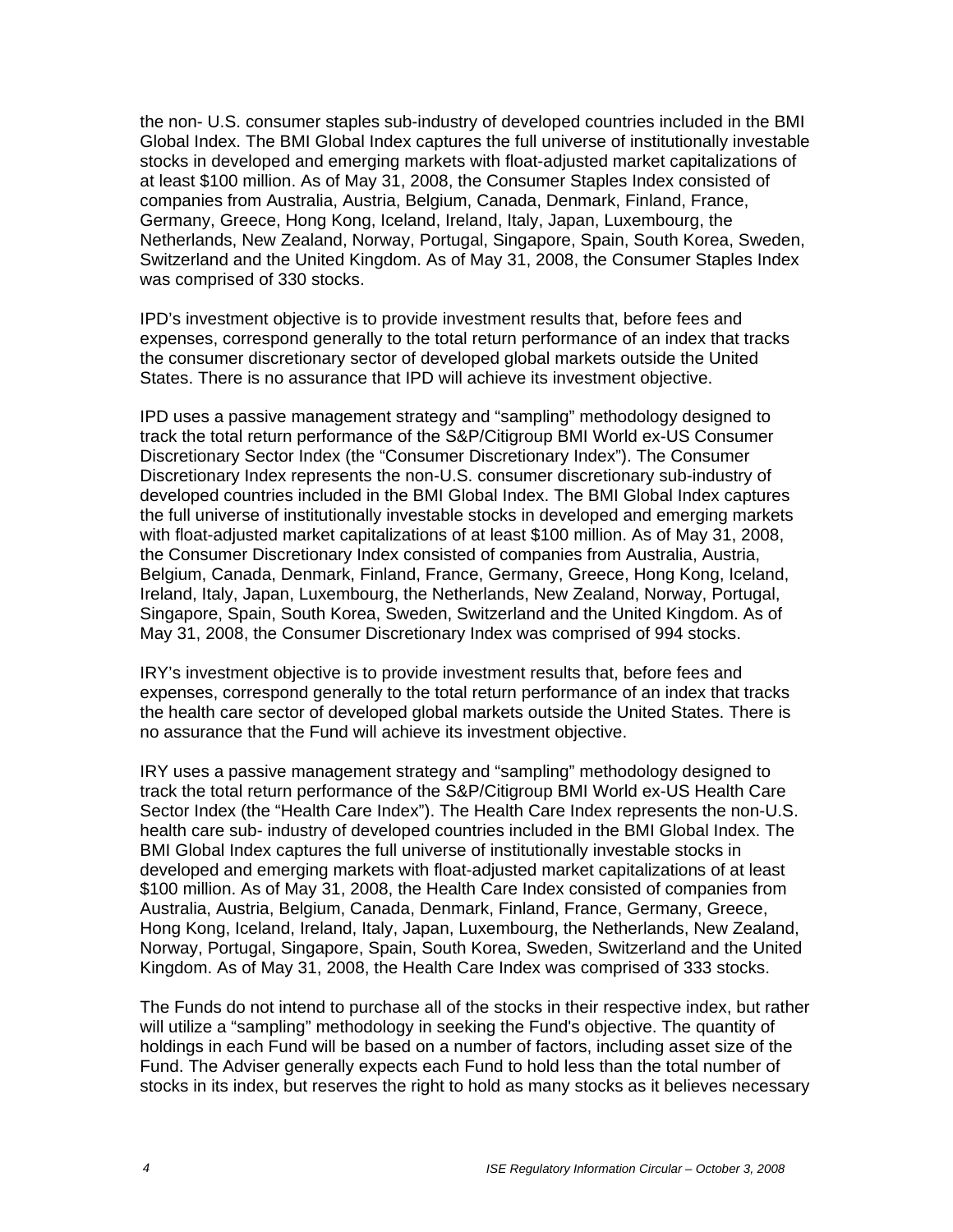the non- U.S. consumer staples sub-industry of developed countries included in the BMI Global Index. The BMI Global Index captures the full universe of institutionally investable stocks in developed and emerging markets with float-adjusted market capitalizations of at least \$100 million. As of May 31, 2008, the Consumer Staples Index consisted of companies from Australia, Austria, Belgium, Canada, Denmark, Finland, France, Germany, Greece, Hong Kong, Iceland, Ireland, Italy, Japan, Luxembourg, the Netherlands, New Zealand, Norway, Portugal, Singapore, Spain, South Korea, Sweden, Switzerland and the United Kingdom. As of May 31, 2008, the Consumer Staples Index was comprised of 330 stocks.

IPD's investment objective is to provide investment results that, before fees and expenses, correspond generally to the total return performance of an index that tracks the consumer discretionary sector of developed global markets outside the United States. There is no assurance that IPD will achieve its investment objective.

IPD uses a passive management strategy and "sampling" methodology designed to track the total return performance of the S&P/Citigroup BMI World ex-US Consumer Discretionary Sector Index (the "Consumer Discretionary Index"). The Consumer Discretionary Index represents the non-U.S. consumer discretionary sub-industry of developed countries included in the BMI Global Index. The BMI Global Index captures the full universe of institutionally investable stocks in developed and emerging markets with float-adjusted market capitalizations of at least \$100 million. As of May 31, 2008, the Consumer Discretionary Index consisted of companies from Australia, Austria, Belgium, Canada, Denmark, Finland, France, Germany, Greece, Hong Kong, Iceland, Ireland, Italy, Japan, Luxembourg, the Netherlands, New Zealand, Norway, Portugal, Singapore, Spain, South Korea, Sweden, Switzerland and the United Kingdom. As of May 31, 2008, the Consumer Discretionary Index was comprised of 994 stocks.

IRY's investment objective is to provide investment results that, before fees and expenses, correspond generally to the total return performance of an index that tracks the health care sector of developed global markets outside the United States. There is no assurance that the Fund will achieve its investment objective.

IRY uses a passive management strategy and "sampling" methodology designed to track the total return performance of the S&P/Citigroup BMI World ex-US Health Care Sector Index (the "Health Care Index"). The Health Care Index represents the non-U.S. health care sub- industry of developed countries included in the BMI Global Index. The BMI Global Index captures the full universe of institutionally investable stocks in developed and emerging markets with float-adjusted market capitalizations of at least \$100 million. As of May 31, 2008, the Health Care Index consisted of companies from Australia, Austria, Belgium, Canada, Denmark, Finland, France, Germany, Greece, Hong Kong, Iceland, Ireland, Italy, Japan, Luxembourg, the Netherlands, New Zealand, Norway, Portugal, Singapore, Spain, South Korea, Sweden, Switzerland and the United Kingdom. As of May 31, 2008, the Health Care Index was comprised of 333 stocks.

The Funds do not intend to purchase all of the stocks in their respective index, but rather will utilize a "sampling" methodology in seeking the Fund's objective. The quantity of holdings in each Fund will be based on a number of factors, including asset size of the Fund. The Adviser generally expects each Fund to hold less than the total number of stocks in its index, but reserves the right to hold as many stocks as it believes necessary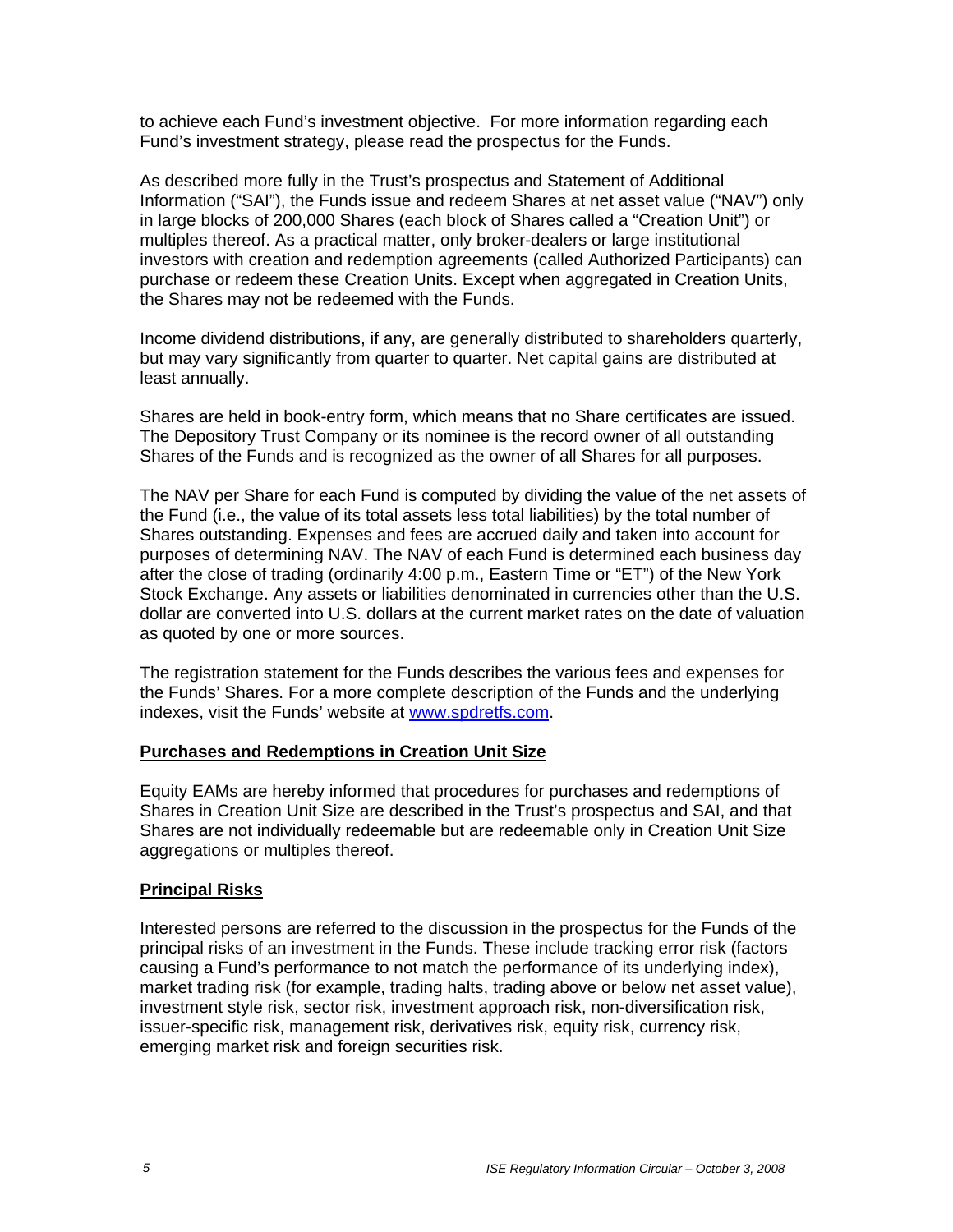to achieve each Fund's investment objective. For more information regarding each Fund's investment strategy, please read the prospectus for the Funds.

As described more fully in the Trust's prospectus and Statement of Additional Information ("SAI"), the Funds issue and redeem Shares at net asset value ("NAV") only in large blocks of 200,000 Shares (each block of Shares called a "Creation Unit") or multiples thereof. As a practical matter, only broker-dealers or large institutional investors with creation and redemption agreements (called Authorized Participants) can purchase or redeem these Creation Units. Except when aggregated in Creation Units, the Shares may not be redeemed with the Funds.

Income dividend distributions, if any, are generally distributed to shareholders quarterly, but may vary significantly from quarter to quarter. Net capital gains are distributed at least annually.

Shares are held in book-entry form, which means that no Share certificates are issued. The Depository Trust Company or its nominee is the record owner of all outstanding Shares of the Funds and is recognized as the owner of all Shares for all purposes.

The NAV per Share for each Fund is computed by dividing the value of the net assets of the Fund (i.e., the value of its total assets less total liabilities) by the total number of Shares outstanding. Expenses and fees are accrued daily and taken into account for purposes of determining NAV. The NAV of each Fund is determined each business day after the close of trading (ordinarily 4:00 p.m., Eastern Time or "ET") of the New York Stock Exchange. Any assets or liabilities denominated in currencies other than the U.S. dollar are converted into U.S. dollars at the current market rates on the date of valuation as quoted by one or more sources.

The registration statement for the Funds describes the various fees and expenses for the Funds' Shares. For a more complete description of the Funds and the underlying indexes, visit the Funds' website at www.spdretfs.com.

#### **Purchases and Redemptions in Creation Unit Size**

Equity EAMs are hereby informed that procedures for purchases and redemptions of Shares in Creation Unit Size are described in the Trust's prospectus and SAI, and that Shares are not individually redeemable but are redeemable only in Creation Unit Size aggregations or multiples thereof.

## **Principal Risks**

Interested persons are referred to the discussion in the prospectus for the Funds of the principal risks of an investment in the Funds. These include tracking error risk (factors causing a Fund's performance to not match the performance of its underlying index), market trading risk (for example, trading halts, trading above or below net asset value), investment style risk, sector risk, investment approach risk, non-diversification risk, issuer-specific risk, management risk, derivatives risk, equity risk, currency risk, emerging market risk and foreign securities risk.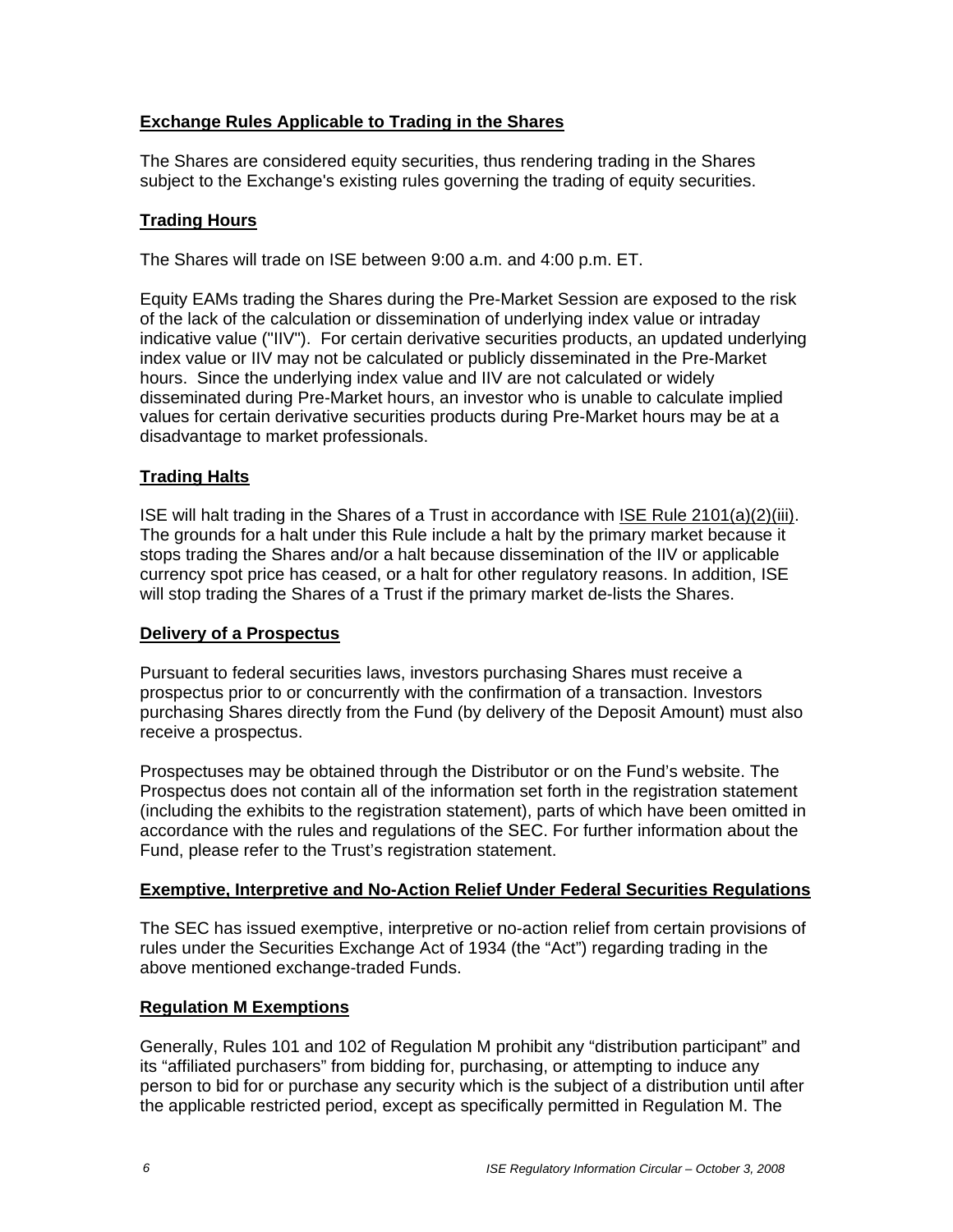## **Exchange Rules Applicable to Trading in the Shares**

The Shares are considered equity securities, thus rendering trading in the Shares subject to the Exchange's existing rules governing the trading of equity securities.

## **Trading Hours**

The Shares will trade on ISE between 9:00 a.m. and 4:00 p.m. ET.

Equity EAMs trading the Shares during the Pre-Market Session are exposed to the risk of the lack of the calculation or dissemination of underlying index value or intraday indicative value ("IIV"). For certain derivative securities products, an updated underlying index value or IIV may not be calculated or publicly disseminated in the Pre-Market hours. Since the underlying index value and IIV are not calculated or widely disseminated during Pre-Market hours, an investor who is unable to calculate implied values for certain derivative securities products during Pre-Market hours may be at a disadvantage to market professionals.

## **Trading Halts**

ISE will halt trading in the Shares of a Trust in accordance with ISE Rule 2101(a)(2)(iii). The grounds for a halt under this Rule include a halt by the primary market because it stops trading the Shares and/or a halt because dissemination of the IIV or applicable currency spot price has ceased, or a halt for other regulatory reasons. In addition, ISE will stop trading the Shares of a Trust if the primary market de-lists the Shares.

## **Delivery of a Prospectus**

Pursuant to federal securities laws, investors purchasing Shares must receive a prospectus prior to or concurrently with the confirmation of a transaction. Investors purchasing Shares directly from the Fund (by delivery of the Deposit Amount) must also receive a prospectus.

Prospectuses may be obtained through the Distributor or on the Fund's website. The Prospectus does not contain all of the information set forth in the registration statement (including the exhibits to the registration statement), parts of which have been omitted in accordance with the rules and regulations of the SEC. For further information about the Fund, please refer to the Trust's registration statement.

## **Exemptive, Interpretive and No-Action Relief Under Federal Securities Regulations**

The SEC has issued exemptive, interpretive or no-action relief from certain provisions of rules under the Securities Exchange Act of 1934 (the "Act") regarding trading in the above mentioned exchange-traded Funds.

## **Regulation M Exemptions**

Generally, Rules 101 and 102 of Regulation M prohibit any "distribution participant" and its "affiliated purchasers" from bidding for, purchasing, or attempting to induce any person to bid for or purchase any security which is the subject of a distribution until after the applicable restricted period, except as specifically permitted in Regulation M. The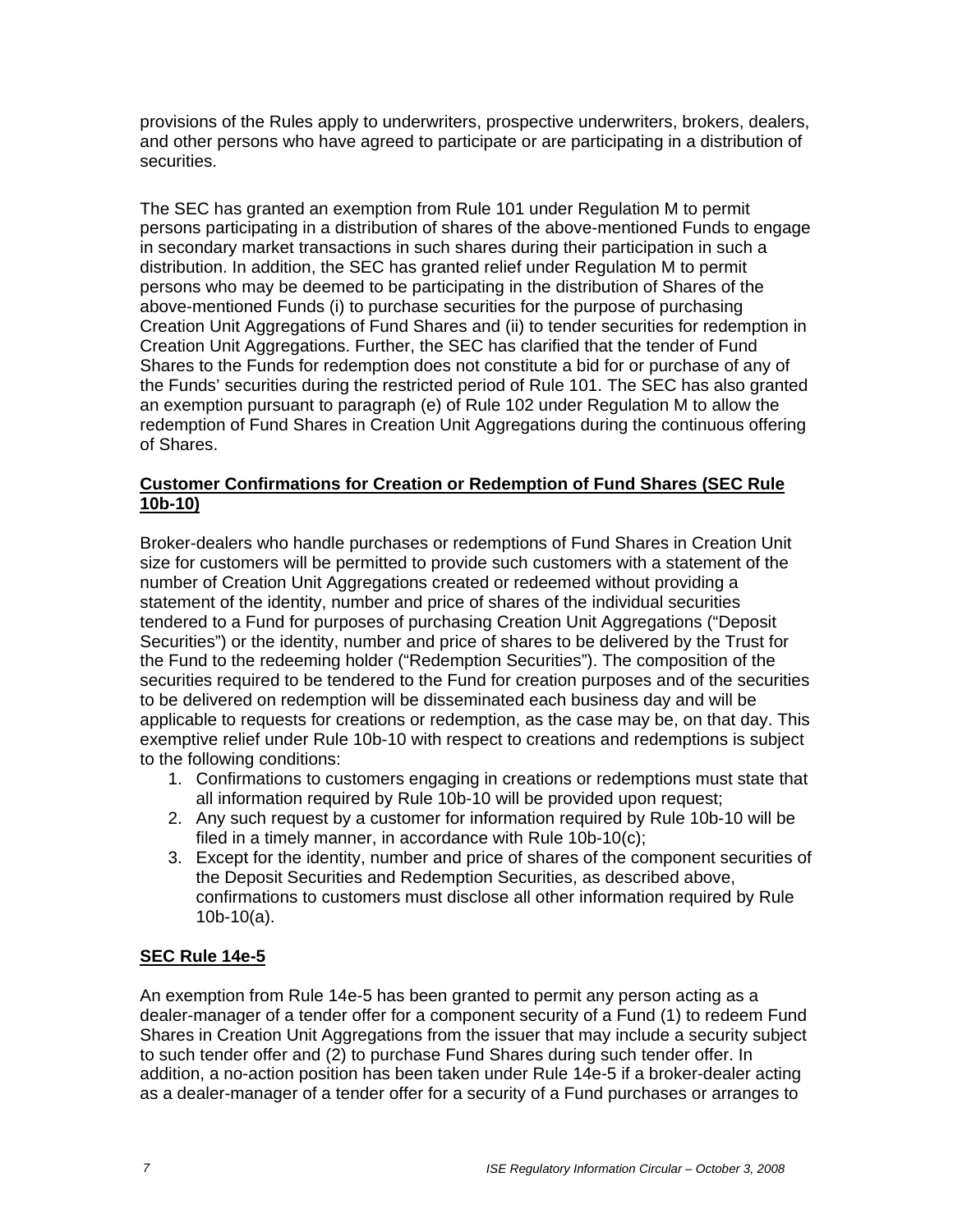provisions of the Rules apply to underwriters, prospective underwriters, brokers, dealers, and other persons who have agreed to participate or are participating in a distribution of securities.

The SEC has granted an exemption from Rule 101 under Regulation M to permit persons participating in a distribution of shares of the above-mentioned Funds to engage in secondary market transactions in such shares during their participation in such a distribution. In addition, the SEC has granted relief under Regulation M to permit persons who may be deemed to be participating in the distribution of Shares of the above-mentioned Funds (i) to purchase securities for the purpose of purchasing Creation Unit Aggregations of Fund Shares and (ii) to tender securities for redemption in Creation Unit Aggregations. Further, the SEC has clarified that the tender of Fund Shares to the Funds for redemption does not constitute a bid for or purchase of any of the Funds' securities during the restricted period of Rule 101. The SEC has also granted an exemption pursuant to paragraph (e) of Rule 102 under Regulation M to allow the redemption of Fund Shares in Creation Unit Aggregations during the continuous offering of Shares.

## **Customer Confirmations for Creation or Redemption of Fund Shares (SEC Rule 10b-10)**

Broker-dealers who handle purchases or redemptions of Fund Shares in Creation Unit size for customers will be permitted to provide such customers with a statement of the number of Creation Unit Aggregations created or redeemed without providing a statement of the identity, number and price of shares of the individual securities tendered to a Fund for purposes of purchasing Creation Unit Aggregations ("Deposit Securities") or the identity, number and price of shares to be delivered by the Trust for the Fund to the redeeming holder ("Redemption Securities"). The composition of the securities required to be tendered to the Fund for creation purposes and of the securities to be delivered on redemption will be disseminated each business day and will be applicable to requests for creations or redemption, as the case may be, on that day. This exemptive relief under Rule 10b-10 with respect to creations and redemptions is subject to the following conditions:

- 1. Confirmations to customers engaging in creations or redemptions must state that all information required by Rule 10b-10 will be provided upon request;
- 2. Any such request by a customer for information required by Rule 10b-10 will be filed in a timely manner, in accordance with Rule 10b-10(c);
- 3. Except for the identity, number and price of shares of the component securities of the Deposit Securities and Redemption Securities, as described above, confirmations to customers must disclose all other information required by Rule 10b-10(a).

# **SEC Rule 14e-5**

An exemption from Rule 14e-5 has been granted to permit any person acting as a dealer-manager of a tender offer for a component security of a Fund (1) to redeem Fund Shares in Creation Unit Aggregations from the issuer that may include a security subject to such tender offer and (2) to purchase Fund Shares during such tender offer. In addition, a no-action position has been taken under Rule 14e-5 if a broker-dealer acting as a dealer-manager of a tender offer for a security of a Fund purchases or arranges to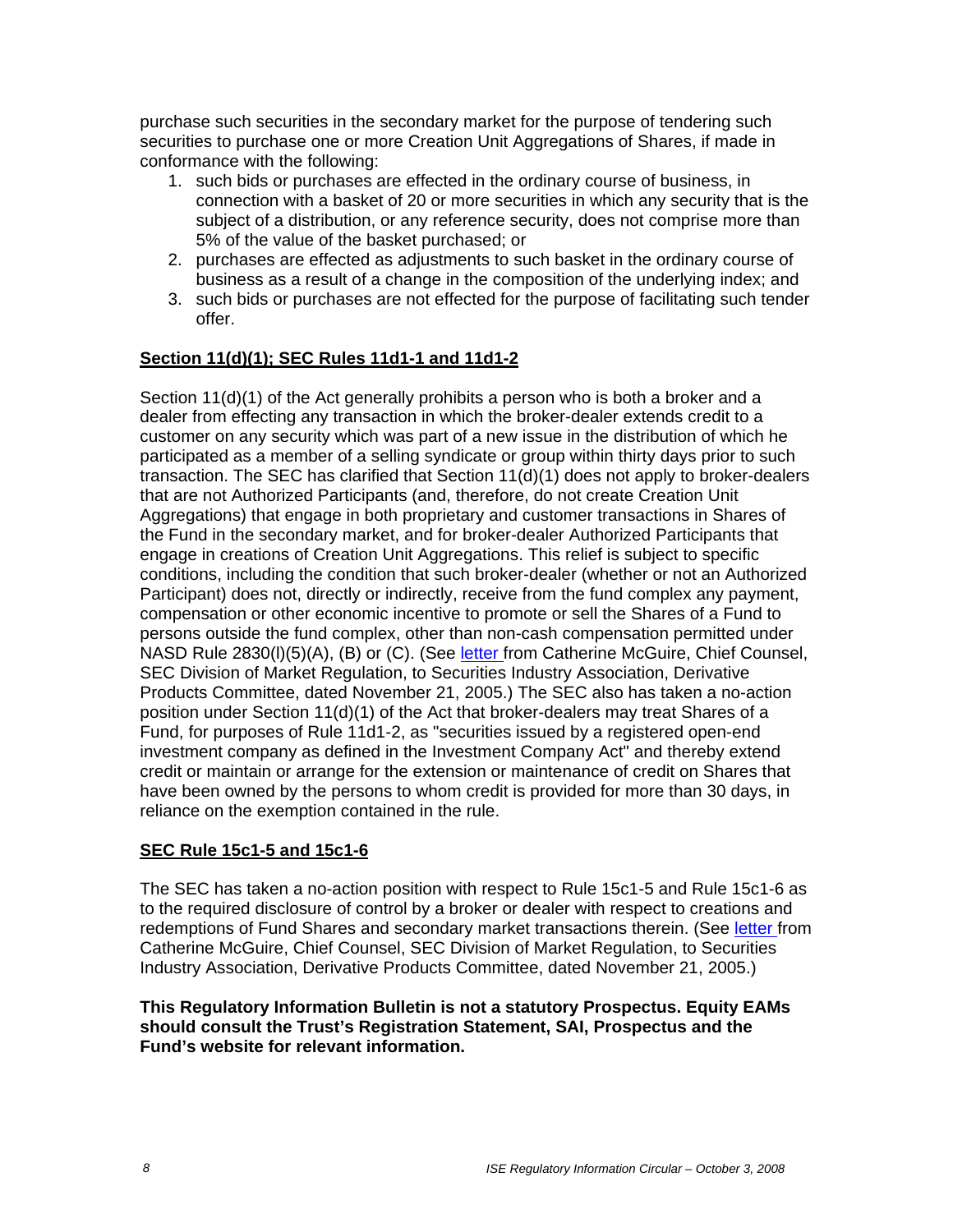purchase such securities in the secondary market for the purpose of tendering such securities to purchase one or more Creation Unit Aggregations of Shares, if made in conformance with the following:

- 1. such bids or purchases are effected in the ordinary course of business, in connection with a basket of 20 or more securities in which any security that is the subject of a distribution, or any reference security, does not comprise more than 5% of the value of the basket purchased; or
- 2. purchases are effected as adjustments to such basket in the ordinary course of business as a result of a change in the composition of the underlying index; and
- 3. such bids or purchases are not effected for the purpose of facilitating such tender offer.

# **Section 11(d)(1); SEC Rules 11d1-1 and 11d1-2**

Section 11(d)(1) of the Act generally prohibits a person who is both a broker and a dealer from effecting any transaction in which the broker-dealer extends credit to a customer on any security which was part of a new issue in the distribution of which he participated as a member of a selling syndicate or group within thirty days prior to such transaction. The SEC has clarified that Section 11(d)(1) does not apply to broker-dealers that are not Authorized Participants (and, therefore, do not create Creation Unit Aggregations) that engage in both proprietary and customer transactions in Shares of the Fund in the secondary market, and for broker-dealer Authorized Participants that engage in creations of Creation Unit Aggregations. This relief is subject to specific conditions, including the condition that such broker-dealer (whether or not an Authorized Participant) does not, directly or indirectly, receive from the fund complex any payment, compensation or other economic incentive to promote or sell the Shares of a Fund to persons outside the fund complex, other than non-cash compensation permitted under NASD Rule 2830(l)(5)(A), (B) or (C). (See letter from Catherine McGuire, Chief Counsel, SEC Division of Market Regulation, to Securities Industry Association, Derivative Products Committee, dated November 21, 2005.) The SEC also has taken a no-action position under Section 11(d)(1) of the Act that broker-dealers may treat Shares of a Fund, for purposes of Rule 11d1-2, as "securities issued by a registered open-end investment company as defined in the Investment Company Act" and thereby extend credit or maintain or arrange for the extension or maintenance of credit on Shares that have been owned by the persons to whom credit is provided for more than 30 days, in reliance on the exemption contained in the rule.

## **SEC Rule 15c1-5 and 15c1-6**

The SEC has taken a no-action position with respect to Rule 15c1-5 and Rule 15c1-6 as to the required disclosure of control by a broker or dealer with respect to creations and redemptions of Fund Shares and secondary market transactions therein. (See letter from Catherine McGuire, Chief Counsel, SEC Division of Market Regulation, to Securities Industry Association, Derivative Products Committee, dated November 21, 2005.)

#### **This Regulatory Information Bulletin is not a statutory Prospectus. Equity EAMs should consult the Trust's Registration Statement, SAI, Prospectus and the Fund's website for relevant information.**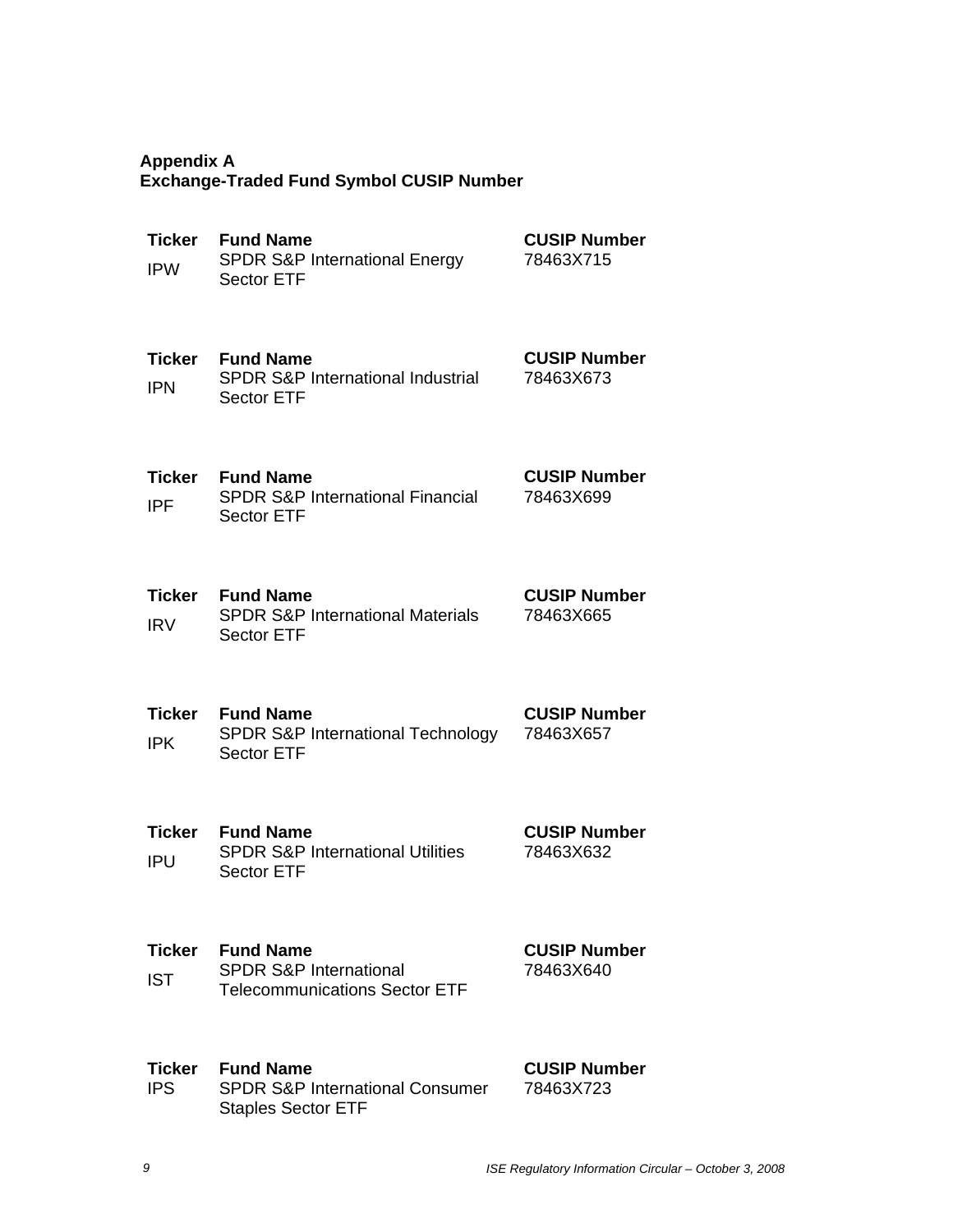# **Appendix A Exchange-Traded Fund Symbol CUSIP Number**

| <b>Ticker</b><br><b>IPW</b> | <b>Fund Name</b><br><b>SPDR S&amp;P International Energy</b><br><b>Sector ETF</b>           | <b>CUSIP Number</b><br>78463X715 |
|-----------------------------|---------------------------------------------------------------------------------------------|----------------------------------|
| Ticker<br><b>IPN</b>        | <b>Fund Name</b><br>SPDR S&P International Industrial<br><b>Sector ETF</b>                  | <b>CUSIP Number</b><br>78463X673 |
| <b>Ticker</b><br><b>IPF</b> | <b>Fund Name</b><br><b>SPDR S&amp;P International Financial</b><br><b>Sector ETF</b>        | <b>CUSIP Number</b><br>78463X699 |
| <b>Ticker</b><br><b>IRV</b> | <b>Fund Name</b><br><b>SPDR S&amp;P International Materials</b><br><b>Sector ETF</b>        | <b>CUSIP Number</b><br>78463X665 |
| Ticker<br><b>IPK</b>        | <b>Fund Name</b><br>SPDR S&P International Technology<br><b>Sector ETF</b>                  | <b>CUSIP Number</b><br>78463X657 |
| <b>Ticker</b><br><b>IPU</b> | <b>Fund Name</b><br><b>SPDR S&amp;P International Utilities</b><br><b>Sector ETF</b>        | <b>CUSIP Number</b><br>78463X632 |
| <b>Ticker</b><br><b>IST</b> | <b>Fund Name</b><br><b>SPDR S&amp;P International</b><br>Telecommunications Sector ETF      | <b>CUSIP Number</b><br>78463X640 |
| Ticker<br><b>IPS</b>        | <b>Fund Name</b><br><b>SPDR S&amp;P International Consumer</b><br><b>Staples Sector ETF</b> | <b>CUSIP Number</b><br>78463X723 |